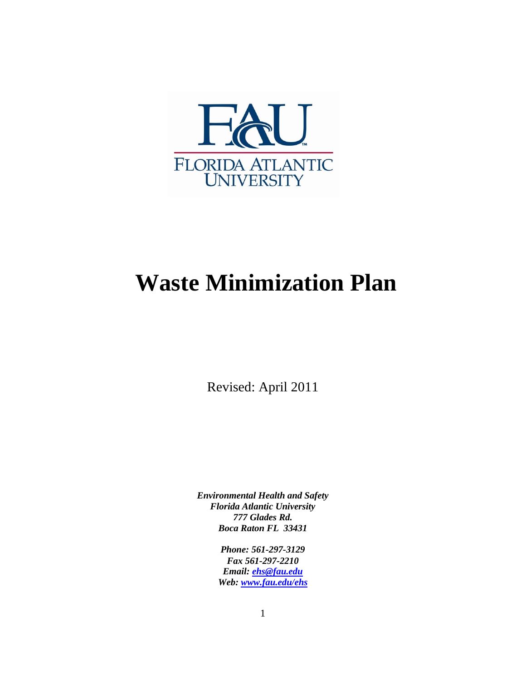

# **Waste Minimization Plan**

Revised: April 2011

*Environmental Health and Safety Florida Atlantic University 777 Glades Rd. Boca Raton FL 33431*

> *Phone: 561-297-3129 Fax 561-297-2210 Email: [ehs@fau.edu](mailto:ehs@fau.edu) Web: [www.fau.edu/ehs](http://www.fau.edu/ehs)*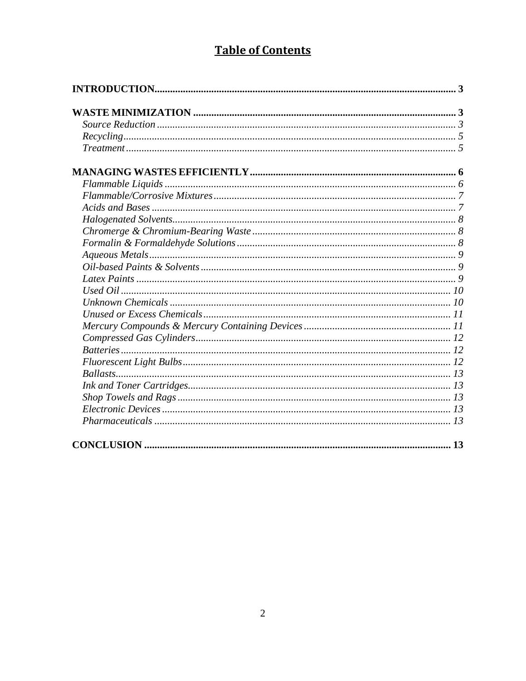# **Table of Contents**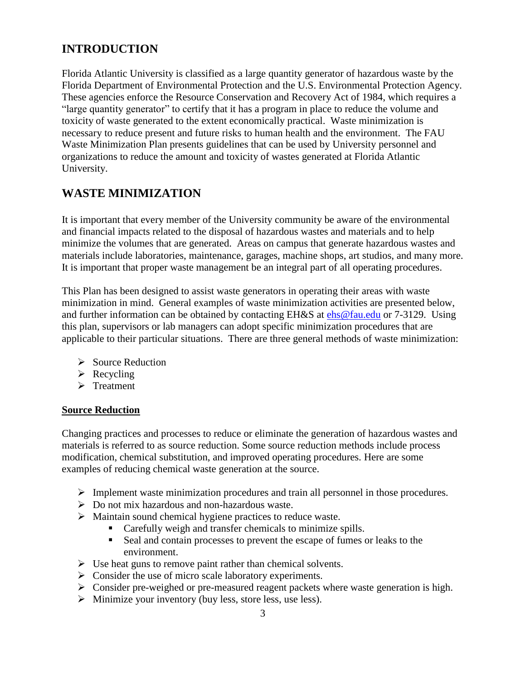# <span id="page-2-0"></span>**INTRODUCTION**

Florida Atlantic University is classified as a large quantity generator of hazardous waste by the Florida Department of Environmental Protection and the U.S. Environmental Protection Agency. These agencies enforce the Resource Conservation and Recovery Act of 1984, which requires a "large quantity generator" to certify that it has a program in place to reduce the volume and toxicity of waste generated to the extent economically practical. Waste minimization is necessary to reduce present and future risks to human health and the environment. The FAU Waste Minimization Plan presents guidelines that can be used by University personnel and organizations to reduce the amount and toxicity of wastes generated at Florida Atlantic University.

# <span id="page-2-1"></span>**WASTE MINIMIZATION**

It is important that every member of the University community be aware of the environmental and financial impacts related to the disposal of hazardous wastes and materials and to help minimize the volumes that are generated. Areas on campus that generate hazardous wastes and materials include laboratories, maintenance, garages, machine shops, art studios, and many more. It is important that proper waste management be an integral part of all operating procedures.

This Plan has been designed to assist waste generators in operating their areas with waste minimization in mind. General examples of waste minimization activities are presented below, and further information can be obtained by contacting EH&S at [ehs@fau.edu](mailto:ehs@fau.edu) or 7-3129. Using this plan, supervisors or lab managers can adopt specific minimization procedures that are applicable to their particular situations. There are three general methods of waste minimization:

- $\triangleright$  Source Reduction
- $\triangleright$  Recycling
- $\triangleright$  Treatment

#### <span id="page-2-2"></span>**Source Reduction**

Changing practices and processes to reduce or eliminate the generation of hazardous wastes and materials is referred to as source reduction. Some source reduction methods include process modification, chemical substitution, and improved operating procedures. Here are some examples of reducing chemical waste generation at the source.

- Implement waste minimization procedures and train all personnel in those procedures.
- $\triangleright$  Do not mix hazardous and non-hazardous waste.
- Maintain sound chemical hygiene practices to reduce waste.
	- Carefully weigh and transfer chemicals to minimize spills.
	- Seal and contain processes to prevent the escape of fumes or leaks to the environment.
- $\triangleright$  Use heat guns to remove paint rather than chemical solvents.
- $\triangleright$  Consider the use of micro scale laboratory experiments.
- $\triangleright$  Consider pre-weighed or pre-measured reagent packets where waste generation is high.
- $\triangleright$  Minimize your inventory (buy less, store less, use less).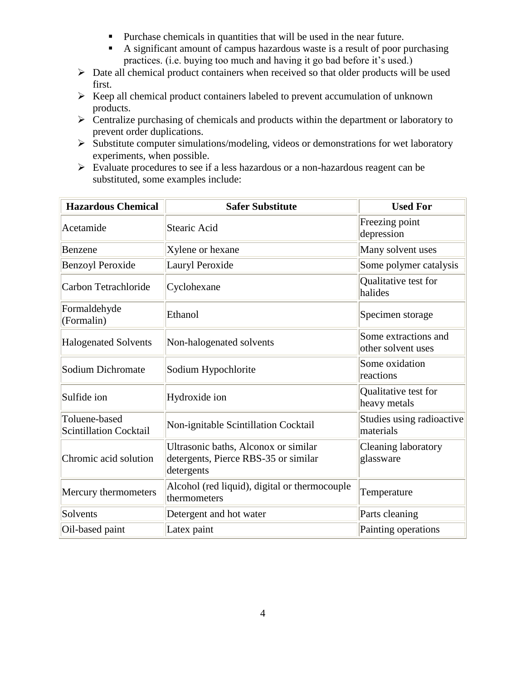- Purchase chemicals in quantities that will be used in the near future.
- A significant amount of campus hazardous waste is a result of poor purchasing practices. (i.e. buying too much and having it go bad before it's used.)
- $\triangleright$  Date all chemical product containers when received so that older products will be used first.
- $\triangleright$  Keep all chemical product containers labeled to prevent accumulation of unknown products.
- $\triangleright$  Centralize purchasing of chemicals and products within the department or laboratory to prevent order duplications.
- $\triangleright$  Substitute computer simulations/modeling, videos or demonstrations for wet laboratory experiments, when possible.
- Evaluate procedures to see if a less hazardous or a non-hazardous reagent can be substituted, some examples include:

| <b>Hazardous Chemical</b>                      | <b>Safer Substitute</b>                                                                    | <b>Used For</b>                            |
|------------------------------------------------|--------------------------------------------------------------------------------------------|--------------------------------------------|
| Acetamide                                      | <b>Stearic Acid</b>                                                                        | Freezing point<br>depression               |
| Benzene                                        | Xylene or hexane                                                                           | Many solvent uses                          |
| <b>Benzoyl Peroxide</b>                        | Lauryl Peroxide                                                                            | Some polymer catalysis                     |
| Carbon Tetrachloride                           | Cyclohexane                                                                                | Qualitative test for<br>halides            |
| Formaldehyde<br>(Formalin)                     | Ethanol                                                                                    | Specimen storage                           |
| <b>Halogenated Solvents</b>                    | Non-halogenated solvents                                                                   | Some extractions and<br>other solvent uses |
| Sodium Dichromate                              | Sodium Hypochlorite                                                                        | Some oxidation<br>reactions                |
| Sulfide ion                                    | Hydroxide ion                                                                              | Qualitative test for<br>heavy metals       |
| Toluene-based<br><b>Scintillation Cocktail</b> | Non-ignitable Scintillation Cocktail                                                       | Studies using radioactive<br>materials     |
| Chromic acid solution                          | Ultrasonic baths, Alconox or similar<br>detergents, Pierce RBS-35 or similar<br>detergents | Cleaning laboratory<br>glassware           |
| Mercury thermometers                           | Alcohol (red liquid), digital or thermocouple<br>thermometers                              | Temperature                                |
| Solvents                                       | Detergent and hot water                                                                    | Parts cleaning                             |
| Oil-based paint                                | Latex paint                                                                                | Painting operations                        |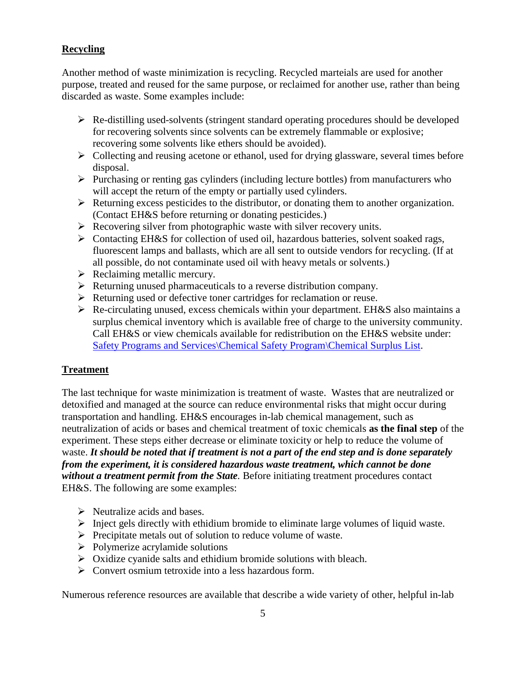# <span id="page-4-0"></span>**Recycling**

Another method of waste minimization is recycling. Recycled marteials are used for another purpose, treated and reused for the same purpose, or reclaimed for another use, rather than being discarded as waste. Some examples include:

- $\triangleright$  Re-distilling used-solvents (stringent standard operating procedures should be developed for recovering solvents since solvents can be extremely flammable or explosive; recovering some solvents like ethers should be avoided).
- $\triangleright$  Collecting and reusing acetone or ethanol, used for drying glassware, several times before disposal.
- $\triangleright$  Purchasing or renting gas cylinders (including lecture bottles) from manufacturers who will accept the return of the empty or partially used cylinders.
- $\triangleright$  Returning excess pesticides to the distributor, or donating them to another organization. (Contact EH&S before returning or donating pesticides.)
- $\triangleright$  Recovering silver from photographic waste with silver recovery units.
- Contacting EH&S for collection of used oil, hazardous batteries, solvent soaked rags, fluorescent lamps and ballasts, which are all sent to outside vendors for recycling. (If at all possible, do not contaminate used oil with heavy metals or solvents.)
- $\triangleright$  Reclaiming metallic mercury.
- $\triangleright$  Returning unused pharmaceuticals to a reverse distribution company.
- Execution  $\triangleright$  Returning used or defective toner cartridges for reclamation or reuse.
- $\triangleright$  Re-circulating unused, excess chemicals within your department. EH&S also maintains a surplus chemical inventory which is available free of charge to the university community. Call EH&S or view chemicals available for redistribution on the EH&S website under: [Safety Programs and Services\Chemical Safety Program\Chemical Surplus List.](http://www.fau.edu/divdept/envhs/ChemicalSurplus.html)

#### <span id="page-4-1"></span>**Treatment**

The last technique for waste minimization is treatment of waste. Wastes that are neutralized or detoxified and managed at the source can reduce environmental risks that might occur during transportation and handling. EH&S encourages in-lab chemical management, such as neutralization of acids or bases and chemical treatment of toxic chemicals **as the final step** of the experiment. These steps either decrease or eliminate toxicity or help to reduce the volume of waste. *It should be noted that if treatment is not a part of the end step and is done separately from the experiment, it is considered hazardous waste treatment, which cannot be done without a treatment permit from the State.* Before initiating treatment procedures contact EH&S. The following are some examples:

- $\triangleright$  Neutralize acids and bases.
- $\triangleright$  Inject gels directly with ethidium bromide to eliminate large volumes of liquid waste.
- $\triangleright$  Precipitate metals out of solution to reduce volume of waste.
- $\triangleright$  Polymerize acrylamide solutions
- $\triangleright$  Oxidize cyanide salts and ethidium bromide solutions with bleach.
- $\triangleright$  Convert osmium tetroxide into a less hazardous form.

Numerous reference resources are available that describe a wide variety of other, helpful in-lab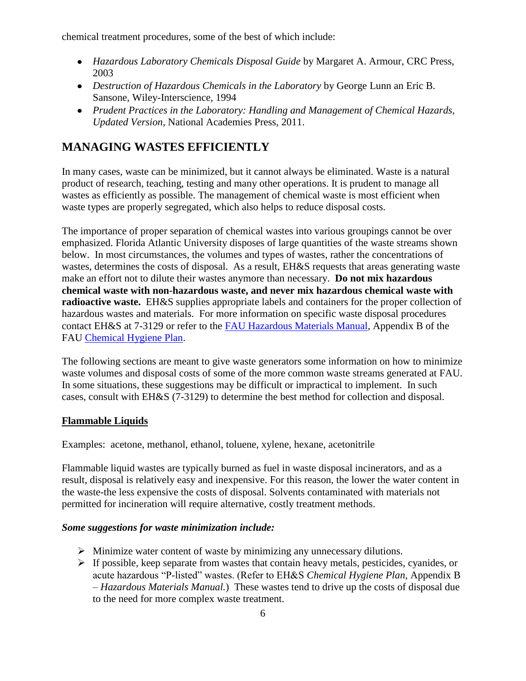chemical treatment procedures, some of the best of which include:

- *Hazardous Laboratory Chemicals Disposal Guide* by Margaret A. Armour, CRC Press, 2003
- *Destruction of Hazardous Chemicals in the Laboratory* by George Lunn an Eric B. Sansone, Wiley-Interscience, 1994
- *Prudent Practices in the Laboratory: Handling and Management of Chemical Hazards, Updated Version*, National Academies Press, 2011.

# <span id="page-5-0"></span>**MANAGING WASTES EFFICIENTLY**

In many cases, waste can be minimized, but it cannot always be eliminated. Waste is a natural product of research, teaching, testing and many other operations. It is prudent to manage all wastes as efficiently as possible. The management of chemical waste is most efficient when waste types are properly segregated, which also helps to reduce disposal costs.

The importance of proper separation of chemical wastes into various groupings cannot be over emphasized. Florida Atlantic University disposes of large quantities of the waste streams shown below. In most circumstances, the volumes and types of wastes, rather the concentrations of wastes, determines the costs of disposal. As a result, EH&S requests that areas generating waste make an effort not to dilute their wastes anymore than necessary. **Do not mix hazardous chemical waste with non-hazardous waste, and never mix hazardous chemical waste with radioactive waste.** EH&S supplies appropriate labels and containers for the proper collection of hazardous wastes and materials. For more information on specific waste disposal procedures contact EH&S at 7-3129 or refer to the [FAU Hazardous Materials Manual,](http://www.fau.edu/facilities/ehs/info/Haz-Materials-Manual-rev.pdf) Appendix B of the FAU [Chemical Hygiene Plan.](http://www.fau.edu/facilities/ehs/info/Chem-Hygiene-Plan.pdf)

The following sections are meant to give waste generators some information on how to minimize waste volumes and disposal costs of some of the more common waste streams generated at FAU. In some situations, these suggestions may be difficult or impractical to implement. In such cases, consult with EH&S (7-3129) to determine the best method for collection and disposal.

# <span id="page-5-1"></span>**Flammable Liquids**

Examples: acetone, methanol, ethanol, toluene, xylene, hexane, acetonitrile

Flammable liquid wastes are typically burned as fuel in waste disposal incinerators, and as a result, disposal is relatively easy and inexpensive. For this reason, the lower the water content in the waste-the less expensive the costs of disposal. Solvents contaminated with materials not permitted for incineration will require alternative, costly treatment methods.

#### *Some suggestions for waste minimization include:*

- $\triangleright$  Minimize water content of waste by minimizing any unnecessary dilutions.
- $\triangleright$  If possible, keep separate from wastes that contain heavy metals, pesticides, cyanides, or acute hazardous "P-listed" wastes. (Refer to EH&S *Chemical Hygiene Plan,* Appendix B – *Hazardous Materials Manual.*) These wastes tend to drive up the costs of disposal due to the need for more complex waste treatment.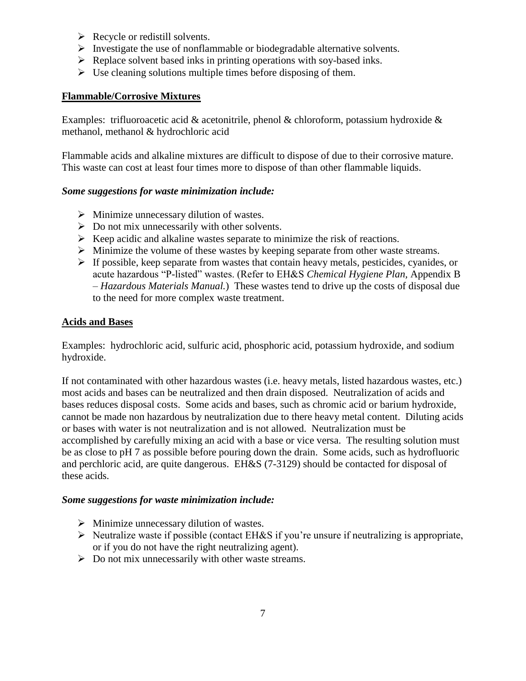- $\triangleright$  Recycle or redistill solvents.
- $\triangleright$  Investigate the use of nonflammable or biodegradable alternative solvents.
- $\triangleright$  Replace solvent based inks in printing operations with soy-based inks.
- $\triangleright$  Use cleaning solutions multiple times before disposing of them.

## <span id="page-6-0"></span>**Flammable/Corrosive Mixtures**

Examples: trifluoroacetic acid & acetonitrile, phenol & chloroform, potassium hydroxide  $\&$ methanol, methanol & hydrochloric acid

Flammable acids and alkaline mixtures are difficult to dispose of due to their corrosive mature. This waste can cost at least four times more to dispose of than other flammable liquids.

#### *Some suggestions for waste minimization include:*

- $\triangleright$  Minimize unnecessary dilution of wastes.
- $\triangleright$  Do not mix unnecessarily with other solvents.
- $\triangleright$  Keep acidic and alkaline wastes separate to minimize the risk of reactions.
- $\triangleright$  Minimize the volume of these wastes by keeping separate from other waste streams.
- $\triangleright$  If possible, keep separate from wastes that contain heavy metals, pesticides, cyanides, or acute hazardous "P-listed" wastes. (Refer to EH&S *Chemical Hygiene Plan,* Appendix B – *Hazardous Materials Manual.*) These wastes tend to drive up the costs of disposal due to the need for more complex waste treatment.

#### <span id="page-6-1"></span>**Acids and Bases**

Examples: hydrochloric acid, sulfuric acid, phosphoric acid, potassium hydroxide, and sodium hydroxide.

If not contaminated with other hazardous wastes (i.e. heavy metals, listed hazardous wastes, etc.) most acids and bases can be neutralized and then drain disposed. Neutralization of acids and bases reduces disposal costs. Some acids and bases, such as chromic acid or barium hydroxide, cannot be made non hazardous by neutralization due to there heavy metal content. Diluting acids or bases with water is not neutralization and is not allowed. Neutralization must be accomplished by carefully mixing an acid with a base or vice versa. The resulting solution must be as close to pH 7 as possible before pouring down the drain. Some acids, such as hydrofluoric and perchloric acid, are quite dangerous. EH&S (7-3129) should be contacted for disposal of these acids.

#### *Some suggestions for waste minimization include:*

- $\triangleright$  Minimize unnecessary dilution of wastes.
- $\triangleright$  Neutralize waste if possible (contact EH&S if you're unsure if neutralizing is appropriate, or if you do not have the right neutralizing agent).
- $\triangleright$  Do not mix unnecessarily with other waste streams.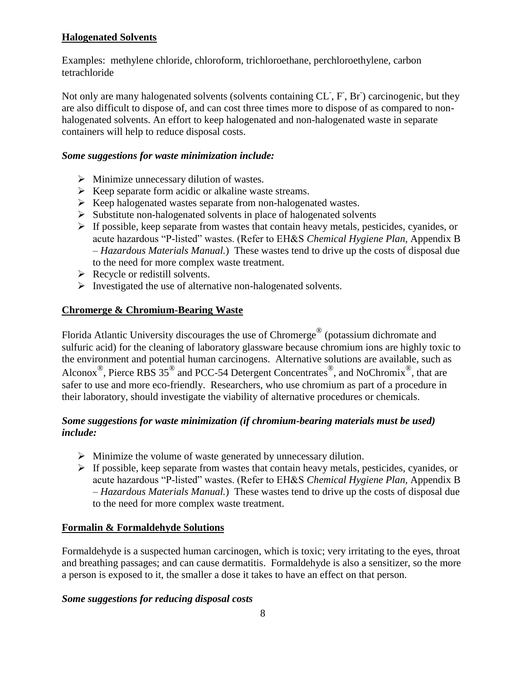# <span id="page-7-0"></span>**Halogenated Solvents**

Examples: methylene chloride, chloroform, trichloroethane, perchloroethylene, carbon tetrachloride

Not only are many halogenated solvents (solvents containing CL, F, Br) carcinogenic, but they are also difficult to dispose of, and can cost three times more to dispose of as compared to nonhalogenated solvents. An effort to keep halogenated and non-halogenated waste in separate containers will help to reduce disposal costs.

## *Some suggestions for waste minimization include:*

- $\triangleright$  Minimize unnecessary dilution of wastes.
- $\triangleright$  Keep separate form acidic or alkaline waste streams.
- $\triangleright$  Keep halogenated wastes separate from non-halogenated wastes.
- $\triangleright$  Substitute non-halogenated solvents in place of halogenated solvents
- $\triangleright$  If possible, keep separate from wastes that contain heavy metals, pesticides, cyanides, or acute hazardous "P-listed" wastes. (Refer to EH&S *Chemical Hygiene Plan,* Appendix B – *Hazardous Materials Manual.*) These wastes tend to drive up the costs of disposal due to the need for more complex waste treatment.
- $\triangleright$  Recycle or redistill solvents.
- $\triangleright$  Investigated the use of alternative non-halogenated solvents.

## <span id="page-7-1"></span>**Chromerge & Chromium-Bearing Waste**

Florida Atlantic University discourages the use of Chromerge® (potassium dichromate and sulfuric acid) for the cleaning of laboratory glassware because chromium ions are highly toxic to the environment and potential human carcinogens. Alternative solutions are available, such as Alconox<sup>®</sup>, Pierce RBS 35<sup>®</sup> and PCC-54 Detergent Concentrates<sup>®</sup>, and NoChromix<sup>®</sup>, that are safer to use and more eco-friendly. Researchers, who use chromium as part of a procedure in their laboratory, should investigate the viability of alternative procedures or chemicals.

## *Some suggestions for waste minimization (if chromium-bearing materials must be used) include:*

- $\triangleright$  Minimize the volume of waste generated by unnecessary dilution.
- $\triangleright$  If possible, keep separate from wastes that contain heavy metals, pesticides, cyanides, or acute hazardous "P-listed" wastes. (Refer to EH&S *Chemical Hygiene Plan,* Appendix B – *Hazardous Materials Manual.*) These wastes tend to drive up the costs of disposal due to the need for more complex waste treatment.

#### <span id="page-7-2"></span>**Formalin & Formaldehyde Solutions**

Formaldehyde is a suspected human carcinogen, which is toxic; very irritating to the eyes, throat and breathing passages; and can cause dermatitis. Formaldehyde is also a sensitizer, so the more a person is exposed to it, the smaller a dose it takes to have an effect on that person.

#### *Some suggestions for reducing disposal costs*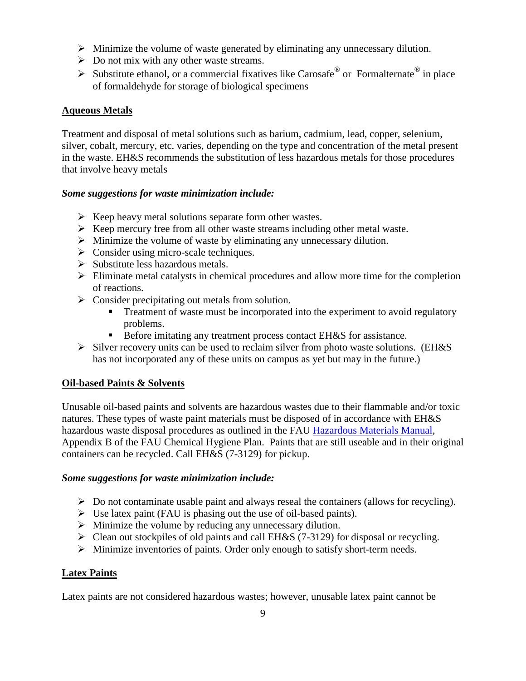- $\triangleright$  Minimize the volume of waste generated by eliminating any unnecessary dilution.
- $\triangleright$  Do not mix with any other waste streams.
- Substitute ethanol, or a commercial fixatives like Carosafe<sup>®</sup> or Formalternate<sup>®</sup> in place of formaldehyde for storage of biological specimens

#### <span id="page-8-0"></span>**Aqueous Metals**

Treatment and disposal of metal solutions such as barium, cadmium, lead, copper, selenium, silver, cobalt, mercury, etc. varies, depending on the type and concentration of the metal present in the waste. EH&S recommends the substitution of less hazardous metals for those procedures that involve heavy metals

#### *Some suggestions for waste minimization include:*

- $\triangleright$  Keep heavy metal solutions separate form other wastes.
- $\triangleright$  Keep mercury free from all other waste streams including other metal waste.
- $\triangleright$  Minimize the volume of waste by eliminating any unnecessary dilution.
- $\triangleright$  Consider using micro-scale techniques.
- $\triangleright$  Substitute less hazardous metals.
- $\triangleright$  Eliminate metal catalysts in chemical procedures and allow more time for the completion of reactions.
- $\triangleright$  Consider precipitating out metals from solution.
	- Treatment of waste must be incorporated into the experiment to avoid regulatory problems.
	- Before imitating any treatment process contact EH&S for assistance.
- $\triangleright$  Silver recovery units can be used to reclaim silver from photo waste solutions. (EH&S has not incorporated any of these units on campus as yet but may in the future.)

#### <span id="page-8-1"></span>**Oil-based Paints & Solvents**

Unusable oil-based paints and solvents are hazardous wastes due to their flammable and/or toxic natures. These types of waste paint materials must be disposed of in accordance with EH&S hazardous waste disposal procedures as outlined in the FAU [Hazardous Materials Manual,](http://www.fau.edu/facilities/ehs/info/Haz-Materials-Manual-rev.pdf) Appendix B of the FAU Chemical Hygiene Plan. Paints that are still useable and in their original containers can be recycled. Call EH&S (7-3129) for pickup.

#### *Some suggestions for waste minimization include:*

- $\triangleright$  Do not contaminate usable paint and always reseal the containers (allows for recycling).
- $\triangleright$  Use latex paint (FAU is phasing out the use of oil-based paints).
- $\triangleright$  Minimize the volume by reducing any unnecessary dilution.
- $\triangleright$  Clean out stockpiles of old paints and call EH&S (7-3129) for disposal or recycling.
- $\triangleright$  Minimize inventories of paints. Order only enough to satisfy short-term needs.

#### <span id="page-8-2"></span>**Latex Paints**

Latex paints are not considered hazardous wastes; however, unusable latex paint cannot be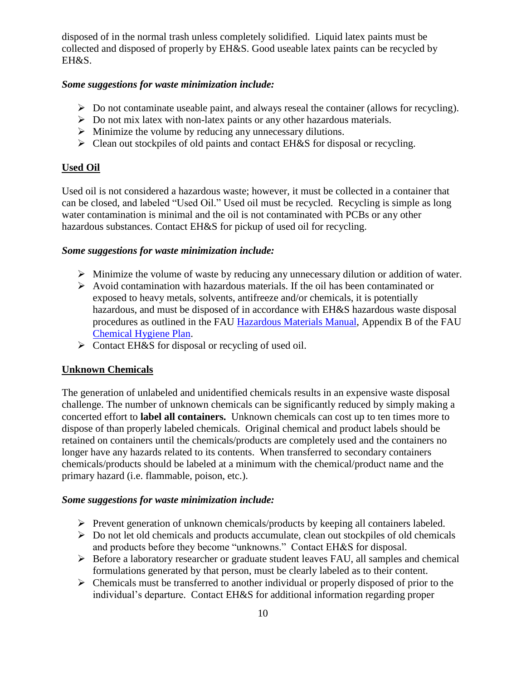disposed of in the normal trash unless completely solidified. Liquid latex paints must be collected and disposed of properly by EH&S. Good useable latex paints can be recycled by EH&S.

#### *Some suggestions for waste minimization include:*

- $\triangleright$  Do not contaminate useable paint, and always reseal the container (allows for recycling).
- Do not mix latex with non-latex paints or any other hazardous materials.
- $\triangleright$  Minimize the volume by reducing any unnecessary dilutions.
- $\triangleright$  Clean out stockpiles of old paints and contact EH&S for disposal or recycling.

#### <span id="page-9-0"></span>**Used Oil**

Used oil is not considered a hazardous waste; however, it must be collected in a container that can be closed, and labeled "Used Oil." Used oil must be recycled. Recycling is simple as long water contamination is minimal and the oil is not contaminated with PCBs or any other hazardous substances. Contact EH&S for pickup of used oil for recycling.

#### *Some suggestions for waste minimization include:*

- $\triangleright$  Minimize the volume of waste by reducing any unnecessary dilution or addition of water.
- $\triangleright$  Avoid contamination with hazardous materials. If the oil has been contaminated or exposed to heavy metals, solvents, antifreeze and/or chemicals, it is potentially hazardous, and must be disposed of in accordance with EH&S hazardous waste disposal procedures as outlined in the FAU [Hazardous Materials Manual,](http://www.fau.edu/facilities/ehs/info/Haz-Materials-Manual-rev.pdf) Appendix B of the FAU [Chemical Hygiene Plan.](http://www.fau.edu/facilities/ehs/info/Chem-Hygiene-Plan.pdf)
- $\triangleright$  Contact EH&S for disposal or recycling of used oil.

#### <span id="page-9-1"></span>**Unknown Chemicals**

The generation of unlabeled and unidentified chemicals results in an expensive waste disposal challenge. The number of unknown chemicals can be significantly reduced by simply making a concerted effort to **label all containers.** Unknown chemicals can cost up to ten times more to dispose of than properly labeled chemicals. Original chemical and product labels should be retained on containers until the chemicals/products are completely used and the containers no longer have any hazards related to its contents. When transferred to secondary containers chemicals/products should be labeled at a minimum with the chemical/product name and the primary hazard (i.e. flammable, poison, etc.).

#### *Some suggestions for waste minimization include:*

- $\triangleright$  Prevent generation of unknown chemicals/products by keeping all containers labeled.
- $\triangleright$  Do not let old chemicals and products accumulate, clean out stockpiles of old chemicals and products before they become "unknowns." Contact EH&S for disposal.
- $\triangleright$  Before a laboratory researcher or graduate student leaves FAU, all samples and chemical formulations generated by that person, must be clearly labeled as to their content.
- $\triangleright$  Chemicals must be transferred to another individual or properly disposed of prior to the individual's departure. Contact EH&S for additional information regarding proper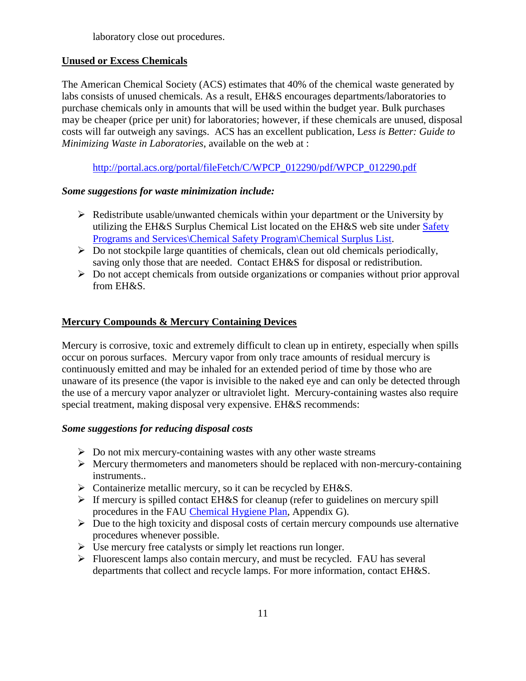laboratory close out procedures.

# <span id="page-10-0"></span>**Unused or Excess Chemicals**

The American Chemical Society (ACS) estimates that 40% of the chemical waste generated by labs consists of unused chemicals. As a result, EH&S encourages departments/laboratories to purchase chemicals only in amounts that will be used within the budget year. Bulk purchases may be cheaper (price per unit) for laboratories; however, if these chemicals are unused, disposal costs will far outweigh any savings. ACS has an excellent publication, L*ess is Better: Guide to Minimizing Waste in Laboratories*, available on the web at :

[http://portal.acs.org/portal/fileFetch/C/WPCP\\_012290/pdf/WPCP\\_012290.pdf](http://portal.acs.org/portal/fileFetch/C/WPCP_012290/pdf/WPCP_012290.pdf)

## *Some suggestions for waste minimization include:*

- $\triangleright$  Redistribute usable/unwanted chemicals within your department or the University by utilizing the EH&S Surplus Chemical List located on the EH&S web site under Safety [Programs and Services\Chemical Safety Program\Chemical Surplus List.](http://www.fau.edu/divdept/envhs/ChemicalSurplus.html)
- $\triangleright$  Do not stockpile large quantities of chemicals, clean out old chemicals periodically, saving only those that are needed. Contact EH&S for disposal or redistribution.
- $\triangleright$  Do not accept chemicals from outside organizations or companies without prior approval from EH&S.

# <span id="page-10-1"></span>**Mercury Compounds & Mercury Containing Devices**

Mercury is corrosive, toxic and extremely difficult to clean up in entirety, especially when spills occur on porous surfaces. Mercury vapor from only trace amounts of residual mercury is continuously emitted and may be inhaled for an extended period of time by those who are unaware of its presence (the vapor is invisible to the naked eye and can only be detected through the use of a mercury vapor analyzer or ultraviolet light. Mercury-containing wastes also require special treatment, making disposal very expensive. EH&S recommends:

# *Some suggestions for reducing disposal costs*

- $\triangleright$  Do not mix mercury-containing wastes with any other waste streams
- $\triangleright$  Mercury thermometers and manometers should be replaced with non-mercury-containing instruments..
- $\triangleright$  Containerize metallic mercury, so it can be recycled by EH&S.
- $\triangleright$  If mercury is spilled contact EH&S for cleanup (refer to guidelines on mercury spill procedures in the FAU [Chemical Hygiene Plan,](http://www.fau.edu/facilities/ehs/info/Chem-Hygiene-Plan.pdf) Appendix G).
- $\triangleright$  Due to the high toxicity and disposal costs of certain mercury compounds use alternative procedures whenever possible.
- $\triangleright$  Use mercury free catalysts or simply let reactions run longer.
- $\triangleright$  Fluorescent lamps also contain mercury, and must be recycled. FAU has several departments that collect and recycle lamps. For more information, contact EH&S.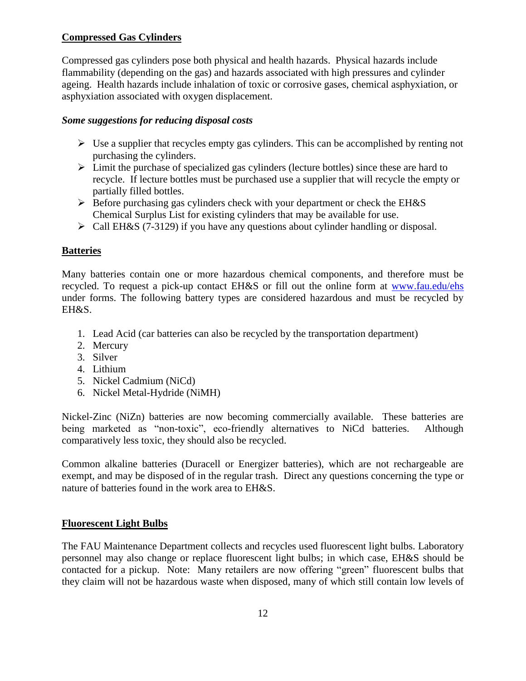# <span id="page-11-0"></span>**Compressed Gas Cylinders**

Compressed gas cylinders pose both physical and health hazards. Physical hazards include flammability (depending on the gas) and hazards associated with high pressures and cylinder ageing. Health hazards include inhalation of toxic or corrosive gases, chemical asphyxiation, or asphyxiation associated with oxygen displacement.

#### *Some suggestions for reducing disposal costs*

- $\triangleright$  Use a supplier that recycles empty gas cylinders. This can be accomplished by renting not purchasing the cylinders.
- $\triangleright$  Limit the purchase of specialized gas cylinders (lecture bottles) since these are hard to recycle. If lecture bottles must be purchased use a supplier that will recycle the empty or partially filled bottles.
- $\triangleright$  Before purchasing gas cylinders check with your department or check the EH&S Chemical Surplus List for existing cylinders that may be available for use.
- Call EH&S (7-3129) if you have any questions about cylinder handling or disposal.

# <span id="page-11-1"></span>**Batteries**

Many batteries contain one or more hazardous chemical components, and therefore must be recycled. To request a pick-up contact EH&S or fill out the online form at [www.fau.edu/ehs](http://www.fau.edu/ehs) under forms. The following battery types are considered hazardous and must be recycled by EH&S.

- 1. Lead Acid (car batteries can also be recycled by the transportation department)
- 2. Mercury
- 3. Silver
- 4. Lithium
- 5. Nickel Cadmium (NiCd)
- 6. Nickel Metal-Hydride (NiMH)

Nickel-Zinc (NiZn) batteries are now becoming commercially available. These batteries are being marketed as "non-toxic", eco-friendly alternatives to NiCd batteries. Although comparatively less toxic, they should also be recycled.

Common alkaline batteries (Duracell or Energizer batteries), which are not rechargeable are exempt, and may be disposed of in the regular trash. Direct any questions concerning the type or nature of batteries found in the work area to EH&S.

# <span id="page-11-2"></span>**Fluorescent Light Bulbs**

The FAU Maintenance Department collects and recycles used fluorescent light bulbs. Laboratory personnel may also change or replace fluorescent light bulbs; in which case, EH&S should be contacted for a pickup. Note: Many retailers are now offering "green" fluorescent bulbs that they claim will not be hazardous waste when disposed, many of which still contain low levels of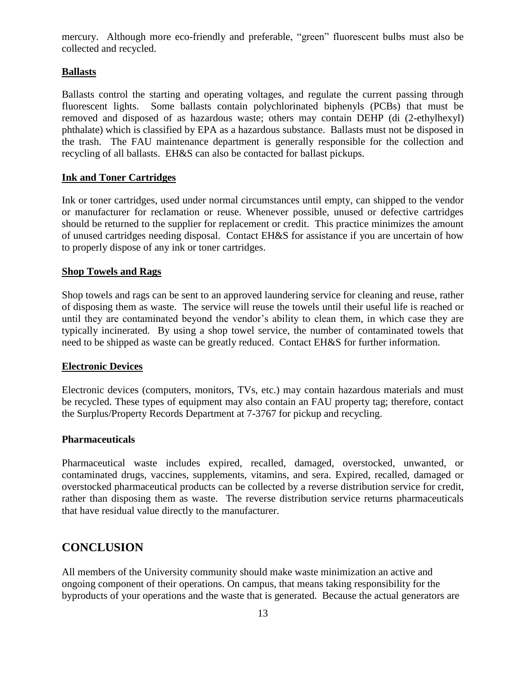mercury. Although more eco-friendly and preferable, "green" fluorescent bulbs must also be collected and recycled.

#### <span id="page-12-0"></span>**Ballasts**

Ballasts control the starting and operating voltages, and regulate the current passing through fluorescent lights. Some ballasts contain polychlorinated biphenyls (PCBs) that must be removed and disposed of as hazardous waste; others may contain DEHP (di (2-ethylhexyl) phthalate) which is classified by EPA as a hazardous substance. Ballasts must not be disposed in the trash. The FAU maintenance department is generally responsible for the collection and recycling of all ballasts. EH&S can also be contacted for ballast pickups.

#### <span id="page-12-1"></span>**Ink and Toner Cartridges**

Ink or toner cartridges, used under normal circumstances until empty, can shipped to the vendor or manufacturer for reclamation or reuse. Whenever possible, unused or defective cartridges should be returned to the supplier for replacement or credit. This practice minimizes the amount of unused cartridges needing disposal. Contact EH&S for assistance if you are uncertain of how to properly dispose of any ink or toner cartridges.

#### <span id="page-12-2"></span>**Shop Towels and Rags**

Shop towels and rags can be sent to an approved laundering service for cleaning and reuse, rather of disposing them as waste. The service will reuse the towels until their useful life is reached or until they are contaminated beyond the vendor's ability to clean them, in which case they are typically incinerated. By using a shop towel service, the number of contaminated towels that need to be shipped as waste can be greatly reduced. Contact EH&S for further information.

#### <span id="page-12-3"></span>**Electronic Devices**

Electronic devices (computers, monitors, TVs, etc.) may contain hazardous materials and must be recycled. These types of equipment may also contain an FAU property tag; therefore, contact the Surplus/Property Records Department at 7-3767 for pickup and recycling.

#### <span id="page-12-4"></span>**Pharmaceuticals**

Pharmaceutical waste includes expired, recalled, damaged, overstocked, unwanted, or contaminated drugs, vaccines, supplements, vitamins, and sera. Expired, recalled, damaged or overstocked pharmaceutical products can be collected by a reverse distribution service for credit, rather than disposing them as waste. The reverse distribution service returns pharmaceuticals that have residual value directly to the manufacturer.

# <span id="page-12-5"></span>**CONCLUSION**

All members of the University community should make waste minimization an active and ongoing component of their operations. On campus, that means taking responsibility for the byproducts of your operations and the waste that is generated. Because the actual generators are